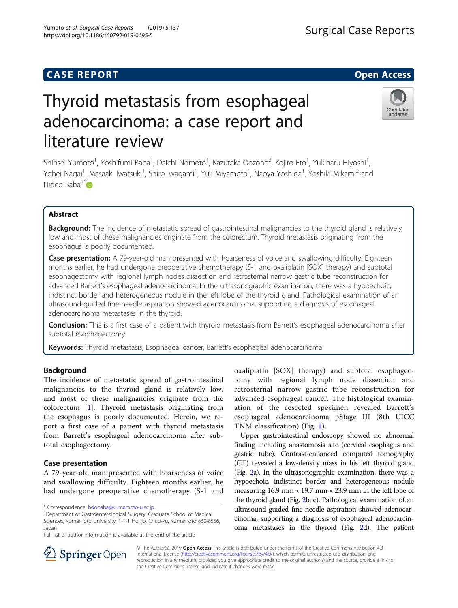## **CASE REPORT And SERVICE SERVICE SERVICE SERVICE SERVICE SERVICE SERVICE SERVICE SERVICE SERVICE SERVICE SERVICE**

# Thyroid metastasis from esophageal adenocarcinoma: a case report and literature review

Shinsei Yumoto<sup>1</sup>, Yoshifumi Baba<sup>1</sup>, Daichi Nomoto<sup>1</sup>, Kazutaka Oozono<sup>2</sup>, Kojiro Eto<sup>1</sup>, Yukiharu Hiyoshi<sup>1</sup> , Yohei Nagai<sup>1</sup>, Masaaki Iwatsuki<sup>1</sup>, Shiro Iwagami<sup>1</sup>, Yuji Miyamoto<sup>1</sup>, Naoya Yoshida<sup>1</sup>, Yoshiki Mikami<sup>2</sup> and Hideo Baba<sup>1\*</sup>

## Abstract

Background: The incidence of metastatic spread of gastrointestinal malignancies to the thyroid gland is relatively low and most of these malignancies originate from the colorectum. Thyroid metastasis originating from the esophagus is poorly documented.

Case presentation: A 79-year-old man presented with hoarseness of voice and swallowing difficulty. Eighteen months earlier, he had undergone preoperative chemotherapy (S-1 and oxaliplatin [SOX] therapy) and subtotal esophagectomy with regional lymph nodes dissection and retrosternal narrow gastric tube reconstruction for advanced Barrett's esophageal adenocarcinoma. In the ultrasonographic examination, there was a hypoechoic, indistinct border and heterogeneous nodule in the left lobe of the thyroid gland. Pathological examination of an ultrasound-guided fine-needle aspiration showed adenocarcinoma, supporting a diagnosis of esophageal adenocarcinoma metastases in the thyroid.

Conclusion: This is a first case of a patient with thyroid metastasis from Barrett's esophageal adenocarcinoma after subtotal esophagectomy.

Keywords: Thyroid metastasis, Esophageal cancer, Barrett's esophageal adenocarcinoma

## Background

The incidence of metastatic spread of gastrointestinal malignancies to the thyroid gland is relatively low, and most of these malignancies originate from the colorectum [\[1](#page-3-0)]. Thyroid metastasis originating from the esophagus is poorly documented. Herein, we report a first case of a patient with thyroid metastasis from Barrett's esophageal adenocarcinoma after subtotal esophagectomy.

## Case presentation

A 79-year-old man presented with hoarseness of voice and swallowing difficulty. Eighteen months earlier, he had undergone preoperative chemotherapy (S-1 and

<sup>1</sup>Department of Gastroenterological Surgery, Graduate School of Medical Sciences, Kumamoto University, 1-1-1 Honjo, Chuo-ku, Kumamoto 860-8556, Japan

Full list of author information is available at the end of the article

oxaliplatin [SOX] therapy) and subtotal esophagectomy with regional lymph node dissection and retrosternal narrow gastric tube reconstruction for advanced esophageal cancer. The histological examination of the resected specimen revealed Barrett's esophageal adenocarcinoma pStage III (8th UICC TNM classification) (Fig. [1\)](#page-1-0).

Upper gastrointestinal endoscopy showed no abnormal finding including anastomosis site (cervical esophagus and gastric tube). Contrast-enhanced computed tomography (CT) revealed a low-density mass in his left thyroid gland (Fig. [2a](#page-1-0)). In the ultrasonographic examination, there was a hypoechoic, indistinct border and heterogeneous nodule measuring 16.9 mm  $\times$  19.7 mm  $\times$  23.9 mm in the left lobe of the thyroid gland (Fig. [2b](#page-1-0), c). Pathological examination of an ultrasound-guided fine-needle aspiration showed adenocarcinoma, supporting a diagnosis of esophageal adenocarcinoma metastases in the thyroid (Fig. [2d](#page-1-0)). The patient

© The Author(s). 2019 Open Access This article is distributed under the terms of the Creative Commons Attribution 4.0 SpringerOpen

International License ([http://creativecommons.org/licenses/by/4.0/\)](http://creativecommons.org/licenses/by/4.0/), which permits unrestricted use, distribution, and reproduction in any medium, provided you give appropriate credit to the original author(s) and the source, provide a link to the Creative Commons license, and indicate if changes were made.





<sup>\*</sup> Correspondence: [hdobaba@kumamoto-u.ac.jp](mailto:hdobaba@kumamoto-u.ac.jp) <sup>1</sup>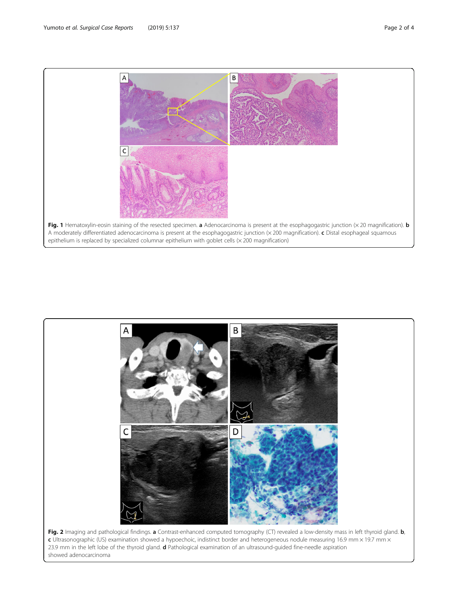<span id="page-1-0"></span>



showed adenocarcinoma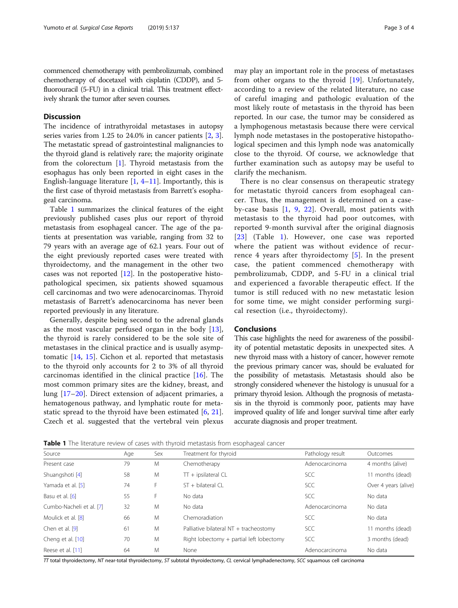commenced chemotherapy with pembrolizumab, combined chemotherapy of docetaxel with cisplatin (CDDP), and 5 fluorouracil (5-FU) in a clinical trial. This treatment effectively shrank the tumor after seven courses.

### **Discussion**

The incidence of intrathyroidal metastases in autopsy series varies from 1.25 to 24.0% in cancer patients [\[2,](#page-3-0) [3](#page-3-0)]. The metastatic spread of gastrointestinal malignancies to the thyroid gland is relatively rare; the majority originate from the colorectum [[1\]](#page-3-0). Thyroid metastasis from the esophagus has only been reported in eight cases in the English-language literature  $[1, 4-11]$  $[1, 4-11]$  $[1, 4-11]$  $[1, 4-11]$  $[1, 4-11]$  $[1, 4-11]$ . Importantly, this is the first case of thyroid metastasis from Barrett's esophageal carcinoma.

Table 1 summarizes the clinical features of the eight previously published cases plus our report of thyroid metastasis from esophageal cancer. The age of the patients at presentation was variable, ranging from 32 to 79 years with an average age of 62.1 years. Four out of the eight previously reported cases were treated with thyroidectomy, and the management in the other two cases was not reported  $[12]$  $[12]$ . In the postoperative histopathological specimen, six patients showed squamous cell carcinomas and two were adenocarcinomas. Thyroid metastasis of Barrett's adenocarcinoma has never been reported previously in any literature.

Generally, despite being second to the adrenal glands as the most vascular perfused organ in the body [\[13](#page-3-0)], the thyroid is rarely considered to be the sole site of metastases in the clinical practice and is usually asymptomatic [\[14](#page-3-0), [15](#page-3-0)]. Cichon et al. reported that metastasis to the thyroid only accounts for 2 to 3% of all thyroid carcinomas identified in the clinical practice [[16\]](#page-3-0). The most common primary sites are the kidney, breast, and lung [[17](#page-3-0)–[20](#page-3-0)]. Direct extension of adjacent primaries, a hematogenous pathway, and lymphatic route for metastatic spread to the thyroid have been estimated  $[6, 21]$  $[6, 21]$  $[6, 21]$  $[6, 21]$  $[6, 21]$ . Czech et al. suggested that the vertebral vein plexus

may play an important role in the process of metastases from other organs to the thyroid [[19\]](#page-3-0). Unfortunately, according to a review of the related literature, no case of careful imaging and pathologic evaluation of the most likely route of metastasis in the thyroid has been reported. In our case, the tumor may be considered as a lymphogenous metastasis because there were cervical lymph node metastases in the postoperative histopathological specimen and this lymph node was anatomically close to the thyroid. Of course, we acknowledge that further examination such as autopsy may be useful to clarify the mechanism.

There is no clear consensus on therapeutic strategy for metastatic thyroid cancers from esophageal cancer. Thus, the management is determined on a caseby-case basis [\[1](#page-3-0), [9](#page-3-0), [22\]](#page-3-0). Overall, most patients with metastasis to the thyroid had poor outcomes, with reported 9-month survival after the original diagnosis [[23](#page-3-0)] (Table 1). However, one case was reported where the patient was without evidence of recurrence 4 years after thyroidectomy [[5](#page-3-0)]. In the present case, the patient commenced chemotherapy with pembrolizumab, CDDP, and 5-FU in a clinical trial and experienced a favorable therapeutic effect. If the tumor is still reduced with no new metastatic lesion for some time, we might consider performing surgical resection (i.e., thyroidectomy).

## Conclusions

This case highlights the need for awareness of the possibility of potential metastatic deposits in unexpected sites. A new thyroid mass with a history of cancer, however remote the previous primary cancer was, should be evaluated for the possibility of metastasis. Metastasis should also be strongly considered whenever the histology is unusual for a primary thyroid lesion. Although the prognosis of metastasis in the thyroid is commonly poor, patients may have improved quality of life and longer survival time after early accurate diagnosis and proper treatment.

Table 1 The literature review of cases with thyroid metastasis from esophageal cancer

| Source                   | Age | Sex | Treatment for thyroid                    | Pathology result | Outcomes             |
|--------------------------|-----|-----|------------------------------------------|------------------|----------------------|
| Present case             | 79  | M   | Chemotherapy                             | Adenocarcinoma   | 4 months (alive)     |
| Shuangshoti [4]          | 58  | M   | $TT + ipsilateral CL$                    | <b>SCC</b>       | 11 months (dead)     |
| Yamada et al. [5]        | 74  | F   | $ST + bilateral$ CL                      | <b>SCC</b>       | Over 4 years (alive) |
| Basu et al. [6]          | 55  | F   | No data                                  | <b>SCC</b>       | No data              |
| Cumbo-Nacheli et al. [7] | 32  | M   | No data                                  | Adenocarcinoma   | No data              |
| Moulick et al. [8]       | 66  | M   | Chemoradiation                           | <b>SCC</b>       | No data              |
| Chen et al. [9]          | 61  | M   | Palliative bilateral NT + tracheostomy   | <b>SCC</b>       | 11 months (dead)     |
| Cheng et al. [10]        | 70  | M   | Right lobectomy + partial left lobectomy | <b>SCC</b>       | 3 months (dead)      |
| Reese et al. [11]        | 64  | M   | None                                     | Adenocarcinoma   | No data              |

 $T$  total thyroidectomy, NT near-total thyroidectomy, ST subtotal thyroidectomy, CL cervical lymphadenectomy, SCC squamous cell carcinoma